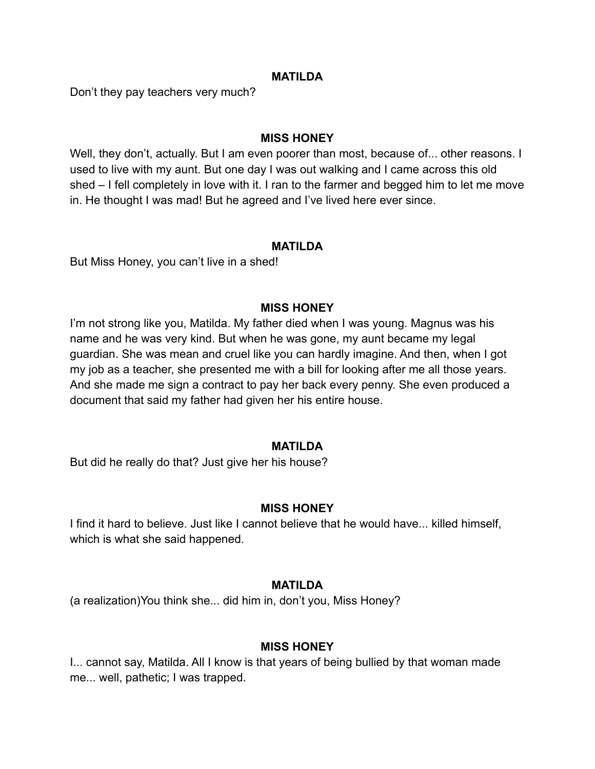## **MATILDA**

Don't they pay teachers very much?

## **MISS HONEY**

Well, they don't, actually. But I am even poorer than most, because of... other reasons. I used to live with my aunt. But one day I was out walking and I came across this old shed – I fell completely in love with it. I ran to the farmer and begged him to let me move in. He thought I was mad! But he agreed and I've lived here ever since.

#### **MATILDA**

But Miss Honey, you can't live in a shed!

## **MISS HONEY**

I'm not strong like you, Matilda. My father died when I was young. Magnus was his name and he was very kind. But when he was gone, my aunt became my legal guardian. She was mean and cruel like you can hardly imagine. And then, when I got my job as a teacher, she presented me with a bill for looking after me all those years. And she made me sign a contract to pay her back every penny. She even produced a document that said my father had given her his entire house.

#### **MATILDA**

But did he really do that? Just give her his house?

## **MISS HONEY**

I find it hard to believe. Just like I cannot believe that he would have... killed himself, which is what she said happened.

#### **MATILDA**

(a realization)You think she... did him in, don't you, Miss Honey?

#### **MISS HONEY**

I... cannot say, Matilda. All I know is that years of being bullied by that woman made me... well, pathetic; I was trapped.